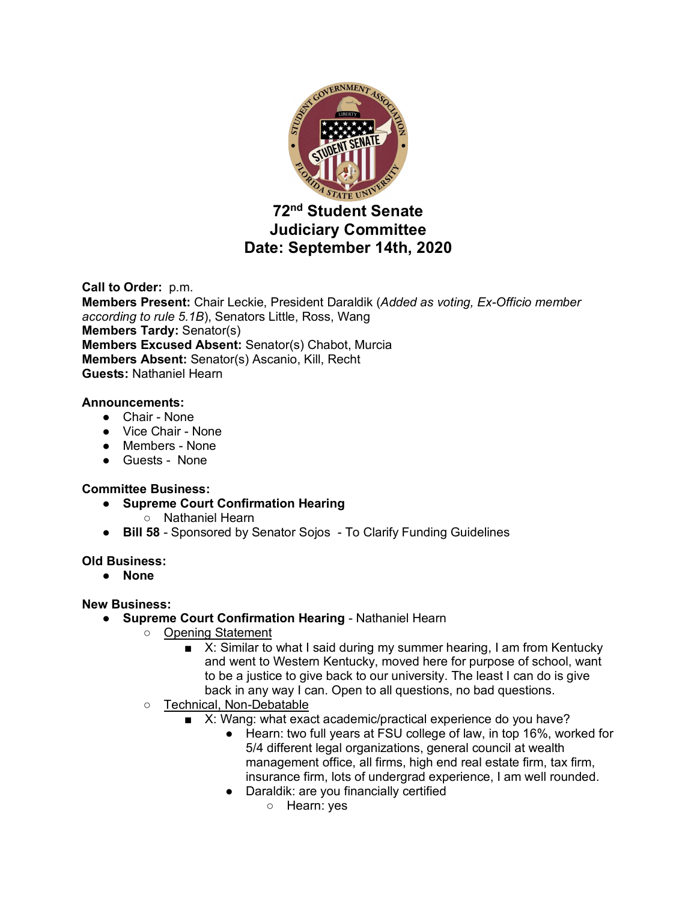

# **72nd Student Senate Judiciary Committee Date: September 14th, 2020**

**Call to Order:** p.m. **Members Present:** Chair Leckie, President Daraldik (*Added as voting, Ex-Officio member according to rule 5.1B*), Senators Little, Ross, Wang **Members Tardy:** Senator(s) **Members Excused Absent:** Senator(s) Chabot, Murcia **Members Absent:** Senator(s) Ascanio, Kill, Recht **Guests:** Nathaniel Hearn

# **Announcements:**

- Chair None
- Vice Chair None
- Members None
- Guests None

# **Committee Business:**

- **Supreme Court Confirmation Hearing**
	- Nathaniel Hearn
- **Bill 58** Sponsored by Senator Sojos To Clarify Funding Guidelines

#### **Old Business:**

● **None**

# **New Business:**

- **Supreme Court Confirmation Hearing** Nathaniel Hearn
	- Opening Statement
		- X: Similar to what I said during my summer hearing, I am from Kentucky and went to Western Kentucky, moved here for purpose of school, want to be a justice to give back to our university. The least I can do is give back in any way I can. Open to all questions, no bad questions.
	- Technical, Non-Debatable
		- X: Wang: what exact academic/practical experience do you have?
			- Hearn: two full years at FSU college of law, in top 16%, worked for 5/4 different legal organizations, general council at wealth management office, all firms, high end real estate firm, tax firm, insurance firm, lots of undergrad experience, I am well rounded.
			- Daraldik: are you financially certified
				- Hearn: yes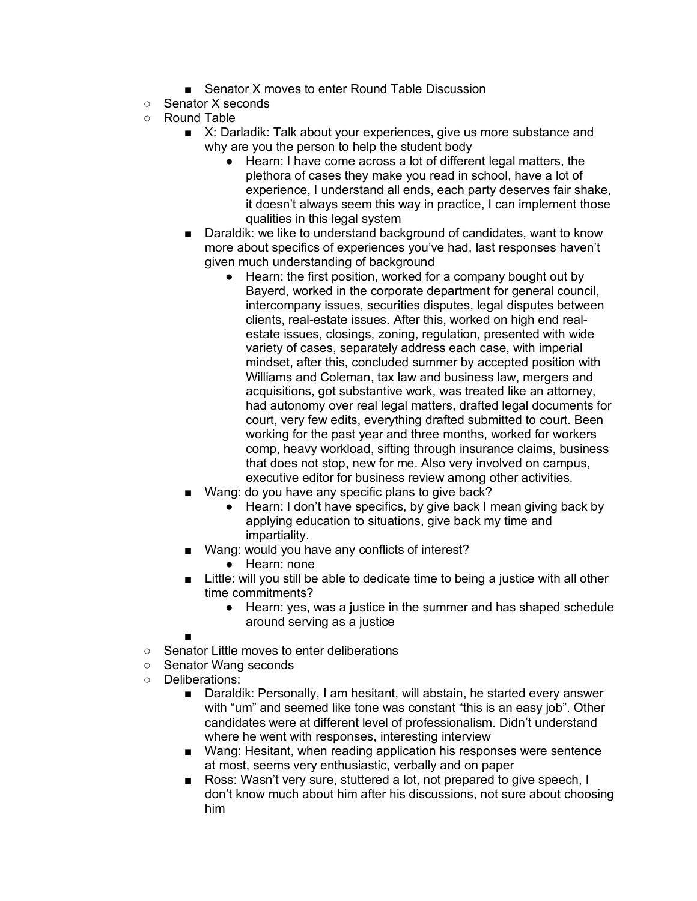- Senator X moves to enter Round Table Discussion
- Senator X seconds
- Round Table
	- X: Darladik: Talk about your experiences, give us more substance and why are you the person to help the student body
		- Hearn: I have come across a lot of different legal matters, the plethora of cases they make you read in school, have a lot of experience, I understand all ends, each party deserves fair shake, it doesn't always seem this way in practice, I can implement those qualities in this legal system
	- Daraldik: we like to understand background of candidates, want to know more about specifics of experiences you've had, last responses haven't given much understanding of background
		- Hearn: the first position, worked for a company bought out by Bayerd, worked in the corporate department for general council, intercompany issues, securities disputes, legal disputes between clients, real-estate issues. After this, worked on high end realestate issues, closings, zoning, regulation, presented with wide variety of cases, separately address each case, with imperial mindset, after this, concluded summer by accepted position with Williams and Coleman, tax law and business law, mergers and acquisitions, got substantive work, was treated like an attorney, had autonomy over real legal matters, drafted legal documents for court, very few edits, everything drafted submitted to court. Been working for the past year and three months, worked for workers comp, heavy workload, sifting through insurance claims, business that does not stop, new for me. Also very involved on campus, executive editor for business review among other activities.
	- Wang: do you have any specific plans to give back?
		- Hearn: I don't have specifics, by give back I mean giving back by applying education to situations, give back my time and impartiality.
	- Wang: would you have any conflicts of interest?
		- Hearn: none
	- Little: will you still be able to dedicate time to being a justice with all other time commitments?
		- Hearn: yes, was a justice in the summer and has shaped schedule around serving as a justice

■

- Senator Little moves to enter deliberations
- Senator Wang seconds
- Deliberations:
	- Daraldik: Personally, I am hesitant, will abstain, he started every answer with "um" and seemed like tone was constant "this is an easy job". Other candidates were at different level of professionalism. Didn't understand where he went with responses, interesting interview
	- Wang: Hesitant, when reading application his responses were sentence at most, seems very enthusiastic, verbally and on paper
	- Ross: Wasn't very sure, stuttered a lot, not prepared to give speech, I don't know much about him after his discussions, not sure about choosing him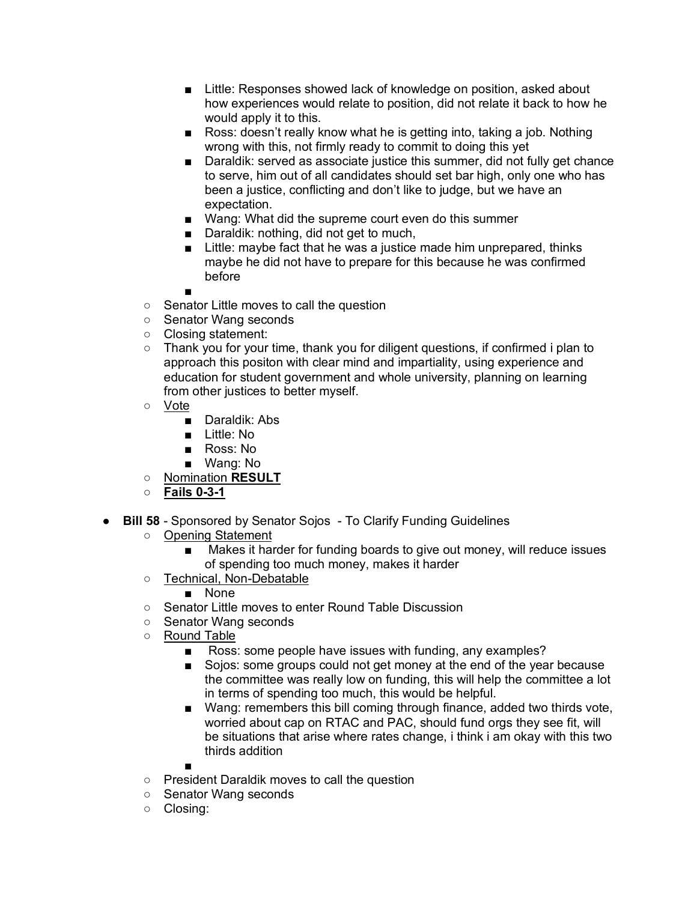- Little: Responses showed lack of knowledge on position, asked about how experiences would relate to position, did not relate it back to how he would apply it to this.
- Ross: doesn't really know what he is getting into, taking a job. Nothing wrong with this, not firmly ready to commit to doing this yet
- Daraldik: served as associate justice this summer, did not fully get chance to serve, him out of all candidates should set bar high, only one who has been a justice, conflicting and don't like to judge, but we have an expectation.
- Wang: What did the supreme court even do this summer
- Daraldik: nothing, did not get to much,
- Little: maybe fact that he was a justice made him unprepared, thinks maybe he did not have to prepare for this because he was confirmed before
- ■
- Senator Little moves to call the question
- Senator Wang seconds
- Closing statement:
- Thank you for your time, thank you for diligent questions, if confirmed i plan to approach this positon with clear mind and impartiality, using experience and education for student government and whole university, planning on learning from other justices to better myself.
- Vote
	- Daraldik: Abs
	- Little: No
	- Ross: No
	- Wang: No
- Nomination **RESULT**
- **Fails 0-3-1**
- **Bill 58** Sponsored by Senator Sojos To Clarify Funding Guidelines
	- Opening Statement
		- Makes it harder for funding boards to give out money, will reduce issues of spending too much money, makes it harder
	- Technical, Non-Debatable
		- None
	- Senator Little moves to enter Round Table Discussion
	- Senator Wang seconds
	- Round Table
		- Ross: some people have issues with funding, any examples?
		- Sojos: some groups could not get money at the end of the year because the committee was really low on funding, this will help the committee a lot in terms of spending too much, this would be helpful.
		- Wang: remembers this bill coming through finance, added two thirds vote, worried about cap on RTAC and PAC, should fund orgs they see fit, will be situations that arise where rates change, i think i am okay with this two thirds addition
		- ■
	- President Daraldik moves to call the question
	- Senator Wang seconds
	- Closing: